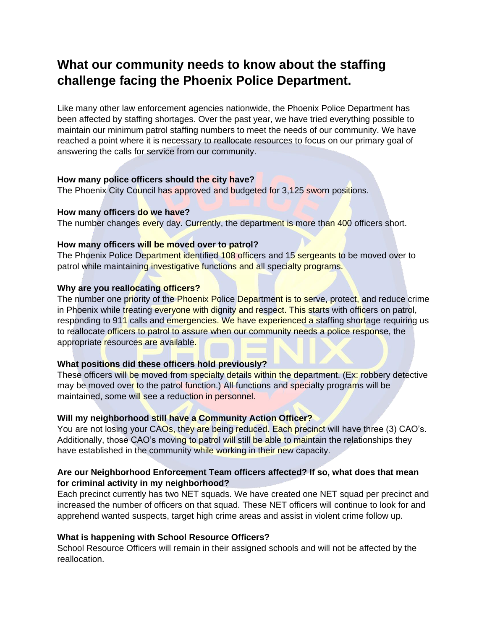# **What our community needs to know about the staffing challenge facing the Phoenix Police Department.**

Like many other law enforcement agencies nationwide, the Phoenix Police Department has been affected by staffing shortages. Over the past year, we have tried everything possible to maintain our minimum patrol staffing numbers to meet the needs of our community. We have reached a point where it is necessary to reallocate resources to focus on our primary goal of answering the calls for service from our community.

# **How many police officers should the city have?**

The Phoenix City Council has approved and budgeted for 3,125 sworn positions.

### **How many officers do we have?**

The number changes every day. Currently, the department is more than 400 officers short.

## **How many officers will be moved over to patrol?**

The Phoenix Police Department identified 108 officers and 15 sergeants to be moved over to patrol while maintaining investigative functions and all specialty programs.

# **Why are you reallocating officers?**

The number one priority of the Phoenix Police Department is to serve, protect, and reduce crime in Phoenix while treating everyone with dignity and respect. This starts with officers on patrol, responding to 911 calls and emergencies. We have experienced a staffing shortage requiring us to reallocate officers to patrol to assure when our community needs a police response, the appropriate resources are available.

# **What positions did these officers hold previously?**

These officers will be moved from specialty details within the department. (Ex: robbery detective may be moved over to the patrol function.) All functions and specialty programs will be maintained, some will see a reduction in personnel.

# **Will my neighborhood still have a Community Action Officer?**

You are not losing your CAOs, they are being reduced. Each precinct will have three (3) CAO's. Additionally, those CAO's moving to patrol will still be able to maintain the relationships they have established in the community while working in their new capacity.

# **Are our Neighborhood Enforcement Team officers affected? If so, what does that mean for criminal activity in my neighborhood?**

Each precinct currently has two NET squads. We have created one NET squad per precinct and increased the number of officers on that squad. These NET officers will continue to look for and apprehend wanted suspects, target high crime areas and assist in violent crime follow up.

# **What is happening with School Resource Officers?**

School Resource Officers will remain in their assigned schools and will not be affected by the reallocation.